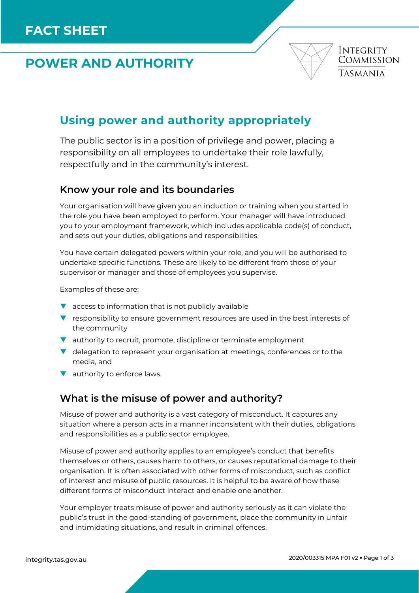# **POWER AND AUTHORITY**



## **Using power and authority appropriately**

The public sector is in a position of privilege and power, placing a responsibility on all employees to undertake their role lawfully, respectfully and in the community's interest.

#### **Know your role and its boundaries**

Your organisation will have given you an induction or training when you started in the role you have been employed to perform. Your manager will have introduced you to your employment framework, which includes applicable code(s) of conduct, and sets out your duties, obligations and responsibilities.

You have certain delegated powers within your role, and you will be authorised to undertake specific functions. These are likely to be different from those of your supervisor or manager and those of employees you supervise.

Examples of these are:

- $\blacktriangledown$  access to information that is not publicly available
- **v** responsibility to ensure government resources are used in the best interests of the community
- **v** authority to recruit, promote, discipline or terminate employment
- $\blacktriangledown$  delegation to represent your organisation at meetings, conferences or to the media, and
- v authority to enforce laws.

#### **What is the misuse of power and authority?**

Misuse of power and authority is a vast category of misconduct. It captures any situation where a person acts in a manner inconsistent with their duties, obligations and responsibilities as a public sector employee.

Misuse of power and authority applies to an employee's conduct that benefits themselves or others, causes harm to others, or causes reputational damage to their organisation. It is often associated with other forms of misconduct, such as conflict of interest and misuse of public resources. It is helpful to be aware of how these different forms of misconduct interact and enable one another.

Your employer treats misuse of power and authority seriously as it can violate the public's trust in the good-standing of government, place the community in unfair and intimidating situations, and result in criminal offences.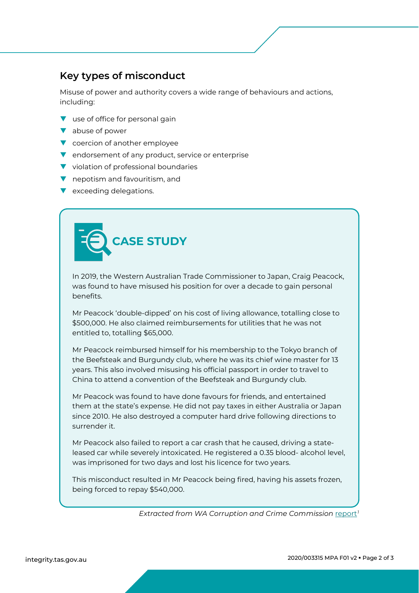### **Key types of misconduct**

Misuse of power and authority covers a wide range of behaviours and actions, including:

- **v** use of office for personal gain
- $\blacktriangledown$  abuse of power
- ▼ coercion of another employee
- **v** endorsement of any product, service or enterprise
- $\blacktriangledown$  violation of professional boundaries
- $\blacksquare$  nepotism and favouritism, and
- **v** exceeding delegations.



In 2019, the Western Australian Trade Commissioner to Japan, Craig Peacock, was found to have misused his position for over a decade to gain personal benefits.

Mr Peacock 'double-dipped' on his cost of living allowance, totalling close to \$500,000. He also claimed reimbursements for utilities that he was not entitled to, totalling \$65,000.

Mr Peacock reimbursed himself for his membership to the Tokyo branch of the Beefsteak and Burgundy club, where he was its chief wine master for 13 years. This also involved misusing his official passport in order to travel to China to attend a convention of the Beefsteak and Burgundy club.

Mr Peacock was found to have done favours for friends, and entertained them at the state's expense. He did not pay taxes in either Australia or Japan since 2010. He also destroyed a computer hard drive following directions to surrender it.

Mr Peacock also failed to report a car crash that he caused, driving a stateleased car while severely intoxicated. He registered a 0.35 blood- alcohol level, was imprisoned for two days and lost his licence for two years.

This misconduct resulted in Mr Peacock being fired, having his assets frozen, being forced to repay \$540,000.

*Extracted from WA Corruption and Crime Commission* [report](https://www.ccc.wa.gov.au/node/545)*[1](#page-2-0)*